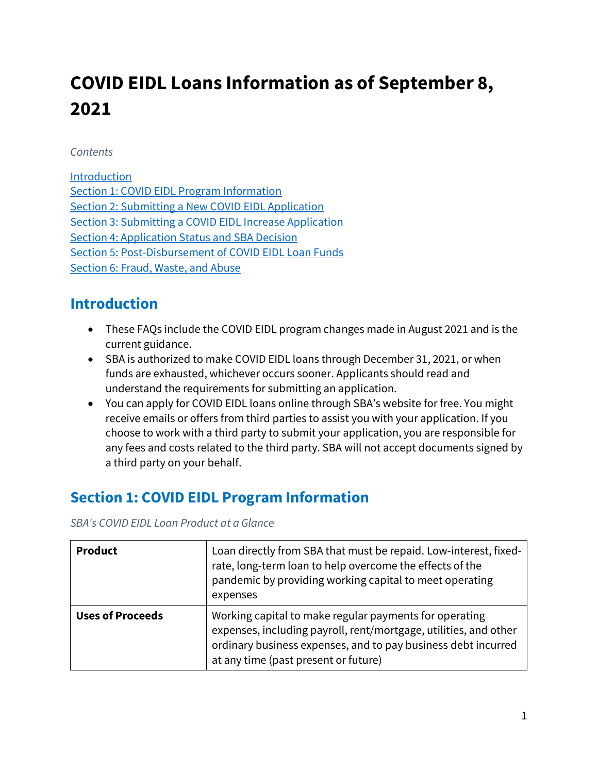# **COVID EIDL Loans Information as of September 8, 2021**

#### *Contents*

[Introduction](#page-0-0)  [Section 1: COVID EIDL Program Information](#page-0-1)  [Section 2: Submitting a New COVID EIDL Application](#page-2-0)  [Section 3: Submitting a COVID EIDL Increase Application](#page-12-0)  [Section 4: Application Status and SBA Decision](#page-14-0)  [Section 5: Post-Disbursement of COVID EIDL Loan Funds](#page-16-0)  [Section 6: Fraud, Waste, and Abuse](#page-18-0) 

## <span id="page-0-0"></span>**Introduction**

- These FAQs include the COVID EIDL program changes made in August 2021 and is the current guidance.
- SBA is authorized to make COVID EIDL loans through December 31, 2021, or when funds are exhausted, whichever occurs sooner. Applicants should read and understand the requirements for submitting an application.
- You can apply for COVID EIDL loans online through SBA's website for free. You might receive emails or offers from third parties to assist you with your application. If you choose to work with a third party to submit your application, you are responsible for any fees and costs related to the third party. SBA will not accept documents signed by a third party on your behalf.

# <span id="page-0-1"></span>**Section 1: COVID EIDL Program Information**

*SBA's COVID EIDL Loan Product at a Glance* 

| <b>Product</b>          | Loan directly from SBA that must be repaid. Low-interest, fixed-<br>rate, long-term loan to help overcome the effects of the<br>pandemic by providing working capital to meet operating<br>expenses                                 |
|-------------------------|-------------------------------------------------------------------------------------------------------------------------------------------------------------------------------------------------------------------------------------|
| <b>Uses of Proceeds</b> | Working capital to make regular payments for operating<br>expenses, including payroll, rent/mortgage, utilities, and other<br>ordinary business expenses, and to pay business debt incurred<br>at any time (past present or future) |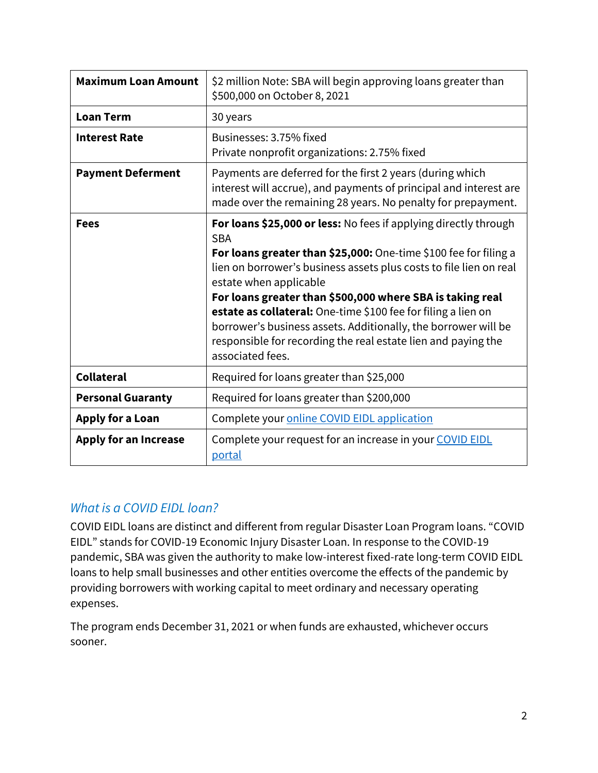| <b>Maximum Loan Amount</b>   | \$2 million Note: SBA will begin approving loans greater than<br>\$500,000 on October 8, 2021                                                                                                                                                                                                                                                                                                                                                                                                                                           |  |  |
|------------------------------|-----------------------------------------------------------------------------------------------------------------------------------------------------------------------------------------------------------------------------------------------------------------------------------------------------------------------------------------------------------------------------------------------------------------------------------------------------------------------------------------------------------------------------------------|--|--|
| <b>Loan Term</b>             | 30 years                                                                                                                                                                                                                                                                                                                                                                                                                                                                                                                                |  |  |
| <b>Interest Rate</b>         | Businesses: 3.75% fixed<br>Private nonprofit organizations: 2.75% fixed                                                                                                                                                                                                                                                                                                                                                                                                                                                                 |  |  |
| <b>Payment Deferment</b>     | Payments are deferred for the first 2 years (during which<br>interest will accrue), and payments of principal and interest are<br>made over the remaining 28 years. No penalty for prepayment.                                                                                                                                                                                                                                                                                                                                          |  |  |
| <b>Fees</b>                  | For loans \$25,000 or less: No fees if applying directly through<br><b>SBA</b><br>For loans greater than \$25,000: One-time \$100 fee for filing a<br>lien on borrower's business assets plus costs to file lien on real<br>estate when applicable<br>For loans greater than \$500,000 where SBA is taking real<br>estate as collateral: One-time \$100 fee for filing a lien on<br>borrower's business assets. Additionally, the borrower will be<br>responsible for recording the real estate lien and paying the<br>associated fees. |  |  |
| <b>Collateral</b>            | Required for loans greater than \$25,000                                                                                                                                                                                                                                                                                                                                                                                                                                                                                                |  |  |
| <b>Personal Guaranty</b>     | Required for loans greater than \$200,000                                                                                                                                                                                                                                                                                                                                                                                                                                                                                               |  |  |
| <b>Apply for a Loan</b>      | Complete your online COVID EIDL application                                                                                                                                                                                                                                                                                                                                                                                                                                                                                             |  |  |
| <b>Apply for an Increase</b> | Complete your request for an increase in your COVID EIDL<br>portal                                                                                                                                                                                                                                                                                                                                                                                                                                                                      |  |  |

#### *What is a COVID EIDL loan?*

expenses. COVID EIDL loans are distinct and different from regular Disaster Loan Program loans. "COVID EIDL" stands for COVID-19 Economic Injury Disaster Loan. In response to the COVID-19 pandemic, SBA was given the authority to make low-interest fixed-rate long-term COVID EIDL loans to help small businesses and other entities overcome the effects of the pandemic by providing borrowers with working capital to meet ordinary and necessary operating

The program ends December 31, 2021 or when funds are exhausted, whichever occurs sooner.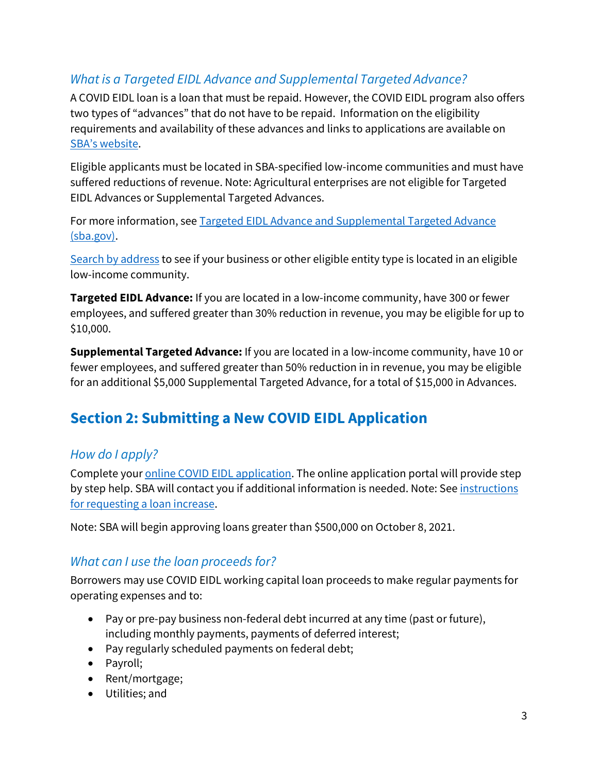## *What is a Targeted EIDL Advance and Supplemental Targeted Advance?*

A COVID EIDL loan is a loan that must be repaid. However, the COVID EIDL program also offers two types of "advances" that do not have to be repaid. Information on the eligibility requirements and availability of these advances and links to applications are available on [SBA's website.](https://www.sba.gov/funding-programs/loans/covid-19-relief-options/eidl/targeted-eidl-advance-supplemental-targeted-advance)

Eligible applicants must be located in SBA-specified low-income communities and must have suffered reductions of revenue. Note: Agricultural enterprises are not eligible for Targeted EIDL Advances or Supplemental Targeted Advances.

For more information, see [Targeted EIDL Advance and Supplemental Targeted Advance](https://www.sba.gov/funding-programs/loans/covid-19-relief-options/eidl/targeted-eidl-advance-supplemental-targeted-advance)  [\(sba.gov\).](https://www.sba.gov/funding-programs/loans/covid-19-relief-options/eidl/targeted-eidl-advance-supplemental-targeted-advance)

[Search by address](https://sbaeidl.policymap.com/app) to see if your business or other eligible entity type is located in an eligible low-income community.

**Targeted EIDL Advance:** If you are located in a low-income community, have 300 or fewer employees, and suffered greater than 30% reduction in revenue, you may be eligible for up to \$10,000.

 **Supplemental Targeted Advance:** If you are located in a low-income community, have 10 or fewer employees, and suffered greater than 50% reduction in in revenue, you may be eligible for an additional \$5,000 Supplemental Targeted Advance, for a total of \$15,000 in Advances.

# <span id="page-2-0"></span>**Section 2: Submitting a New COVID EIDL Application**

#### *How do I apply?*

Complete your **online COVID EIDL** application. The online application portal will provide step by step help. SBA will contact you if additional information is needed. Note: See [instructions](#page-12-0)  [for requesting a loan increase.](#page-12-0)

Note: SBA will begin approving loans greater than \$500,000 on October 8, 2021.

#### *What can I use the loan proceeds for?*

Borrowers may use COVID EIDL working capital loan proceeds to make regular payments for operating expenses and to:

- Pay or pre-pay business non-federal debt incurred at any time (past or future), including monthly payments, payments of deferred interest;
- Pay regularly scheduled payments on federal debt;
- Payroll;
- Rent/mortgage;
- Utilities; and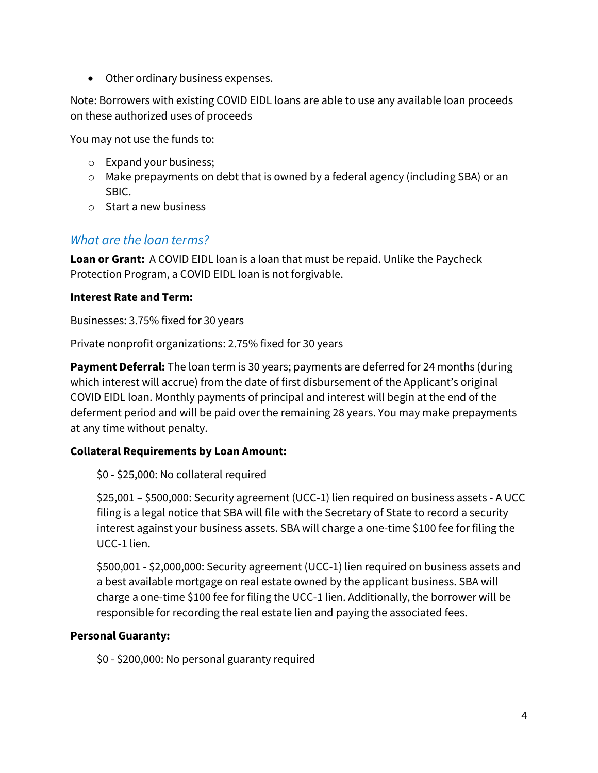• Other ordinary business expenses.

Note: Borrowers with existing COVID EIDL loans are able to use any available loan proceeds on these authorized uses of proceeds

You may not use the funds to:

- o Expand your business;
- o Make prepayments on debt that is owned by a federal agency (including SBA) or an SBIC.
- o Start a new business

#### *What are the loan terms?*

**Loan or Grant:** A COVID EIDL loan is a loan that must be repaid. Unlike the Paycheck Protection Program, a COVID EIDL loan is not forgivable.

#### **Interest Rate and Term:**

Businesses: 3.75% fixed for 30 years

Private nonprofit organizations: 2.75% fixed for 30 years

**Payment Deferral:** The loan term is 30 years; payments are deferred for 24 months (during which interest will accrue) from the date of first disbursement of the Applicant's original COVID EIDL loan. Monthly payments of principal and interest will begin at the end of the deferment period and will be paid over the remaining 28 years. You may make prepayments at any time without penalty.

#### **Collateral Requirements by Loan Amount:**

\$0 - \$25,000: No collateral required

\$25,001 – \$500,000: Security agreement (UCC-1) lien required on business assets - A UCC filing is a legal notice that SBA will file with the Secretary of State to record a security interest against your business assets. SBA will charge a one-time \$100 fee for filing the UCC-1 lien.

\$500,001 - \$2,000,000: Security agreement (UCC-1) lien required on business assets and a best available mortgage on real estate owned by the applicant business. SBA will charge a one-time \$100 fee for filing the UCC-1 lien. Additionally, the borrower will be responsible for recording the real estate lien and paying the associated fees.

#### <span id="page-3-0"></span>**Personal Guaranty:**

\$0 - \$200,000: No personal guaranty required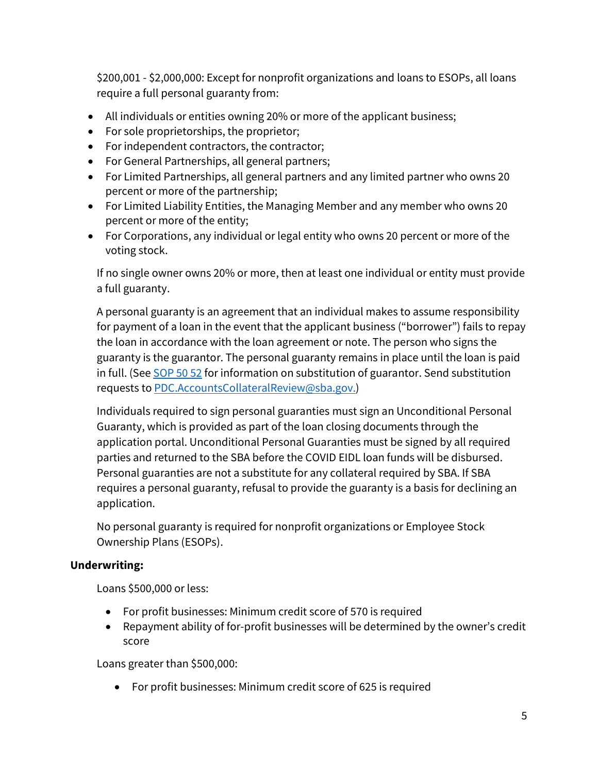\$200,001 - \$2,000,000: Except for nonprofit organizations and loans to ESOPs, all loans require a full personal guaranty from:

- All individuals or entities owning 20% or more of the applicant business;
- For sole proprietorships, the proprietor;
- For independent contractors, the contractor;
- For General Partnerships, all general partners;
- For Limited Partnerships, all general partners and any limited partner who owns 20 percent or more of the partnership;
- For Limited Liability Entities, the Managing Member and any member who owns 20 percent or more of the entity;
- For Corporations, any individual or legal entity who owns 20 percent or more of the voting stock.

If no single owner owns 20% or more, then at least one individual or entity must provide a full guaranty.

A personal guaranty is an agreement that an individual makes to assume responsibility for payment of a loan in the event that the applicant business ("borrower") fails to repay the loan in accordance with the loan agreement or note. The person who signs the guaranty is the guarantor. The personal guaranty remains in place until the loan is paid in full. (See [SOP 50 52](https://www.sba.gov/document/sop-50-52-2-disaster-loan-servicing-and-liquidation) for information on substitution of guarantor. Send substitution requests t[o PDC.AccountsCollateralReview@sba.gov.](mailto:PDC.AccountsCollateralReview@sba.gov))

Individuals required to sign personal guaranties must sign an Unconditional Personal Guaranty, which is provided as part of the loan closing documents through the application portal. Unconditional Personal Guaranties must be signed by all required parties and returned to the SBA before the COVID EIDL loan funds will be disbursed. Personal guaranties are not a substitute for any collateral required by SBA. If SBA requires a personal guaranty, refusal to provide the guaranty is a basis for declining an application.

No personal guaranty is required for nonprofit organizations or Employee Stock Ownership Plans (ESOPs).

#### **Underwriting:**

Loans \$500,000 or less:

- For profit businesses: Minimum credit score of 570 is required
- Repayment ability of for-profit businesses will be determined by the owner's credit score

Loans greater than \$500,000:

• For profit businesses: Minimum credit score of 625 is required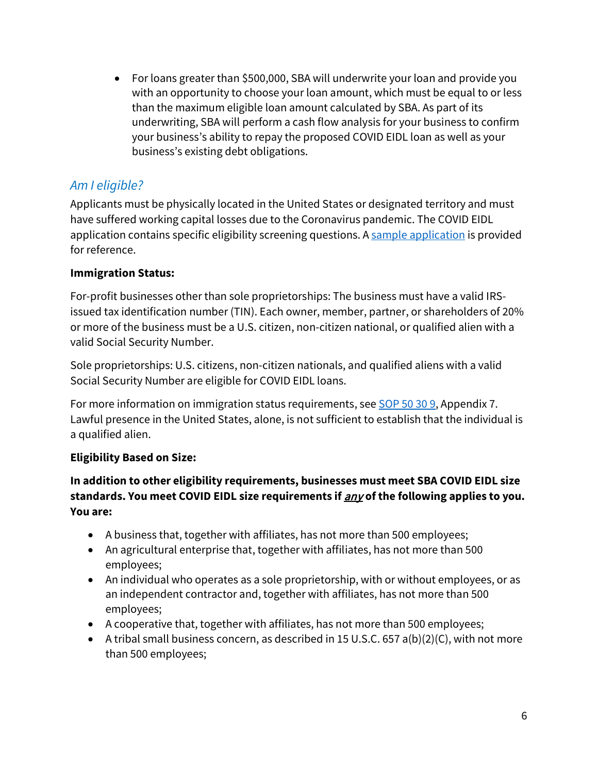• For loans greater than \$500,000, SBA will underwrite your loan and provide you with an opportunity to choose your loan amount, which must be equal to or less than the maximum eligible loan amount calculated by SBA. As part of its underwriting, SBA will perform a cash flow analysis for your business to confirm your business's ability to repay the proposed COVID EIDL loan as well as your business's existing debt obligations.

#### *Am I eligible?*

Applicants must be physically located in the United States or designated territory and must have suffered working capital losses due to the Coronavirus pandemic. The COVID EIDL application contains specific eligibility screening questions. [A sample application i](https://www.sba.gov/funding-programs/loans/covid-19-relief-options/eidl/covid-19-eidl)s provided for reference.

#### **Immigration Status:**

For-profit businesses other than sole proprietorships: The business must have a valid IRSissued tax identification number (TIN). Each owner, member, partner, or shareholders of 20% or more of the business must be a U.S. citizen, non-citizen national, or qualified alien with a valid Social Security Number.

Sole proprietorships: U.S. citizens, non-citizen nationals, and qualified aliens with a valid Social Security Number are eligible for COVID EIDL loans.

For more information on immigration status requirements, see [SOP 50 30 9,](https://www.sba.gov/document/sop-50-30-9-disaster-assistance-program) Appendix 7. Lawful presence in the United States, alone, is not sufficient to establish that the individual is a qualified alien.

#### **Eligibility Based on Size:**

#### **In addition to other eligibility requirements, businesses must meet SBA COVID EIDL size standards. You meet COVID EIDL size requirements if** any **of the following applies to you. You are:**

- A business that, together with affiliates, has not more than 500 employees;
- An agricultural enterprise that, together with affiliates, has not more than 500 employees;
- • An individual who operates as a sole proprietorship, with or without employees, or as an independent contractor and, together with affiliates, has not more than 500 employees;
- A cooperative that, together with affiliates, has not more than 500 employees;
- A tribal small business concern, as described in 15 U.S.C. 657 a(b)(2)(C), with not more than 500 employees;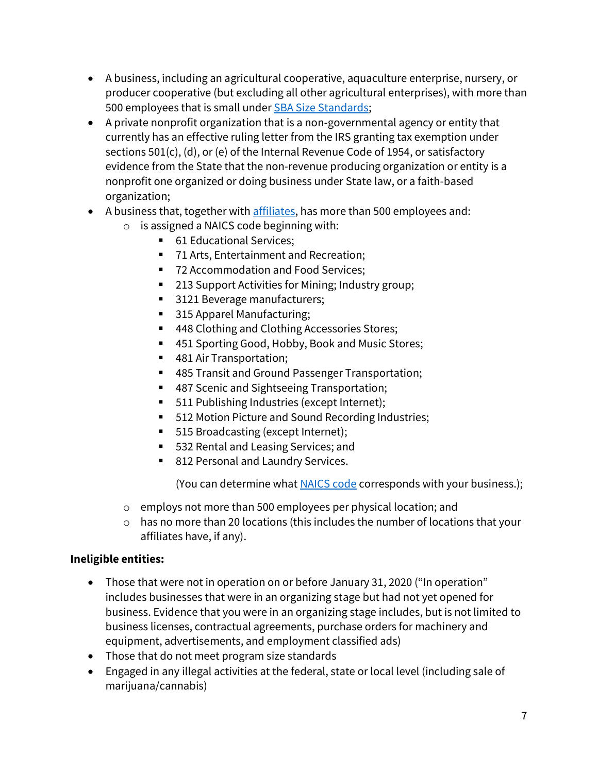- A business, including an agricultural cooperative, aquaculture enterprise, nursery, or producer cooperative (but excluding all other agricultural enterprises), with more than 500 employees that is small unde[r SBA Size Standards;](https://www.ecfr.gov/cgi-bin/text-idx?SID=cb05c5865100a4b063f4eea102fd7608&mc=true&node=pt13.1.121&rgn=div5#_top)
- A private nonprofit organization that is a non-governmental agency or entity that currently has an effective ruling letter from the IRS granting tax exemption under sections 501(c), (d), or (e) of the Internal Revenue Code of 1954, or satisfactory evidence from the State that the non-revenue producing organization or entity is a nonprofit one organized or doing business under State law, or a faith-based organization;
- A business that, together with [affiliates,](#page-7-0) has more than 500 employees and:
	- o is assigned a NAICS code beginning with:
		- 61 Educational Services;
		- 71 Arts, Entertainment and Recreation;
		- 72 Accommodation and Food Services;
		- 213 Support Activities for Mining; Industry group;
		- 3121 Beverage manufacturers;
		- 315 Apparel Manufacturing;
		- 448 Clothing and Clothing Accessories Stores;
		- 451 Sporting Good, Hobby, Book and Music Stores;
		- 481 Air Transportation;
		- 485 Transit and Ground Passenger Transportation;
		- 487 Scenic and Sightseeing Transportation;
		- **511 Publishing Industries (except Internet);**
		- 512 Motion Picture and Sound Recording Industries;
		- 515 Broadcasting (except Internet);
		- 532 Rental and Leasing Services; and
		- 812 Personal and Laundry Services.

<span id="page-6-0"></span>(You can determine what [NAICS code](https://www.ecfr.gov/cgi-bin/text-idx?SID=cb05c5865100a4b063f4eea102fd7608&mc=true&node=pt13.1.121&rgn=div5#se13.1.121_1201) corresponds with your business.);

- o employs not more than 500 employees per physical location; and
- o has no more than 20 locations (this includes the number of locations that your affiliates have, if any).

#### **Ineligible entities:**

- Those that were not in operation on or before January 31, 2020 ("In operation" includes businesses that were in an organizing stage but had not yet opened for business. Evidence that you were in an organizing stage includes, but is not limited to business licenses, contractual agreements, purchase orders for machinery and equipment, advertisements, and employment classified ads)
- Those that do not meet program size standards
- Engaged in any illegal activities at the federal, state or local level (including sale of marijuana/cannabis)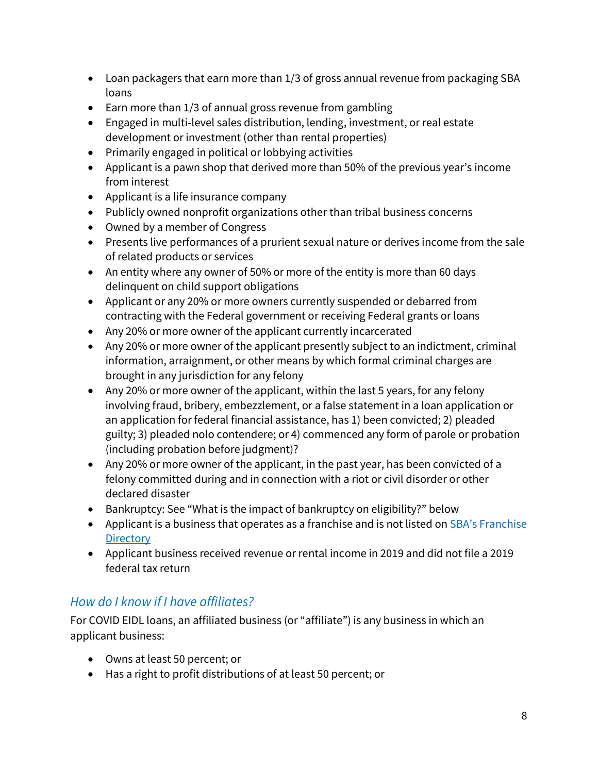- Loan packagers that earn more than 1/3 of gross annual revenue from packaging SBA loans
- Earn more than 1/3 of annual gross revenue from gambling
- Engaged in multi-level sales distribution, lending, investment, or real estate development or investment (other than rental properties)
- Primarily engaged in political or lobbying activities
- Applicant is a pawn shop that derived more than 50% of the previous year's income from interest
- Applicant is a life insurance company
- Publicly owned nonprofit organizations other than tribal business concerns
- Owned by a member of Congress
- Presents live performances of a prurient sexual nature or derives income from the sale of related products or services
- An entity where any owner of 50% or more of the entity is more than 60 days delinquent on child support obligations
- Applicant or any 20% or more owners currently suspended or debarred from contracting with the Federal government or receiving Federal grants or loans
- Any 20% or more owner of the applicant currently incarcerated
- Any 20% or more owner of the applicant presently subject to an indictment, criminal information, arraignment, or other means by which formal criminal charges are brought in any jurisdiction for any felony
- Any 20% or more owner of the applicant, within the last 5 years, for any felony involving fraud, bribery, embezzlement, or a false statement in a loan application or an application for federal financial assistance, has 1) been convicted; 2) pleaded guilty; 3) pleaded nolo contendere; or 4) commenced any form of parole or probation (including probation before judgment)?
- Any 20% or more owner of the applicant, in the past year, has been convicted of a felony committed during and in connection with a riot or civil disorder or other declared disaster
- Bankruptcy: See "What is the impact of bankruptcy on eligibility?" below
- Applicant is a business that operates as a franchise and is not listed on **SBA's Franchise Directory**
- Applicant business received revenue or rental income in 2019 and did not file a 2019 federal tax return

#### <span id="page-7-0"></span>*How do I know if I have affiliates?*

For COVID EIDL loans, an affiliated business (or "affiliate") is any business in which an applicant business:

- Owns at least 50 percent; or
- Has a right to profit distributions of at least 50 percent; or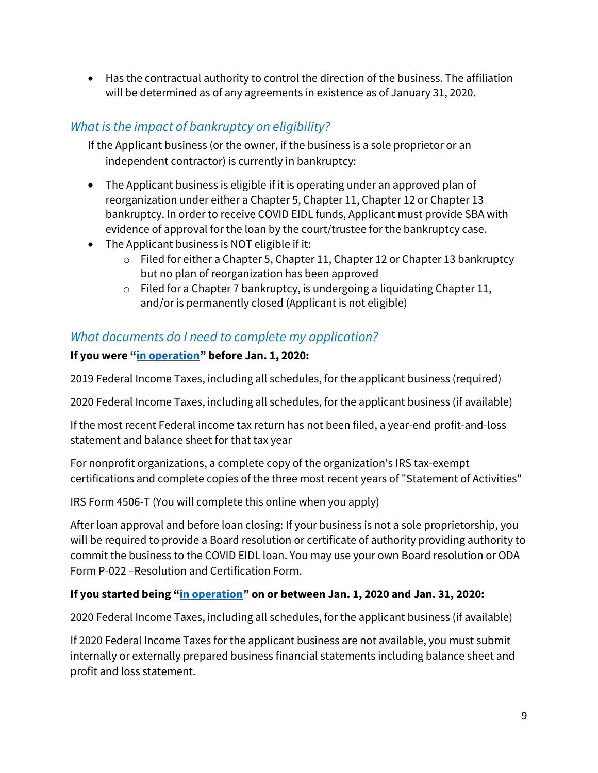• Has the contractual authority to control the direction of the business. The affiliation will be determined as of any agreements in existence as of January 31, 2020.

#### *What is the impact of bankruptcy on eligibility?*

If the Applicant business (or the owner, if the business is a sole proprietor or an independent contractor) is currently in bankruptcy:

- The Applicant business is eligible if it is operating under an approved plan of reorganization under either a Chapter 5, Chapter 11, Chapter 12 or Chapter 13 bankruptcy. In order to receive COVID EIDL funds, Applicant must provide SBA with evidence of approval for the loan by the court/trustee for the bankruptcy case.
- The Applicant business is NOT eligible if it:
	- o Filed for either a Chapter 5, Chapter 11, Chapter 12 or Chapter 13 bankruptcy but no plan of reorganization has been approved
	- o Filed for a Chapter 7 bankruptcy, is undergoing a liquidating Chapter 11, and/or is permanently closed (Applicant is not eligible)

#### *What documents do I need to complete my application?*

#### **If you were ["in operation"](#page-6-0) before Jan. 1, 2020:**

2019 Federal Income Taxes, including all schedules, for the applicant business (required)

2020 Federal Income Taxes, including all schedules, for the applicant business (if available)

If the most recent Federal income tax return has not been filed, a year-end profit-and-loss statement and balance sheet for that tax year

For nonprofit organizations, a complete copy of the organization's IRS tax-exempt certifications and complete copies of the three most recent years of "Statement of Activities"

IRS Form 4506-T (You will complete this online when you apply)

 After loan approval and before loan closing: If your business is not a sole proprietorship, you will be required to provide a Board resolution or certificate of authority providing authority to commit the business to the COVID EIDL loan. You may use your own Board resolution or ODA Form P-022 –Resolution and Certification Form.

#### **If you started being ["in operation"](#page-6-0) on or between Jan. 1, 2020 and Jan. 31, 2020:**

2020 Federal Income Taxes, including all schedules, for the applicant business (if available)

If 2020 Federal Income Taxes for the applicant business are not available, you must submit internally or externally prepared business financial statements including balance sheet and profit and loss statement.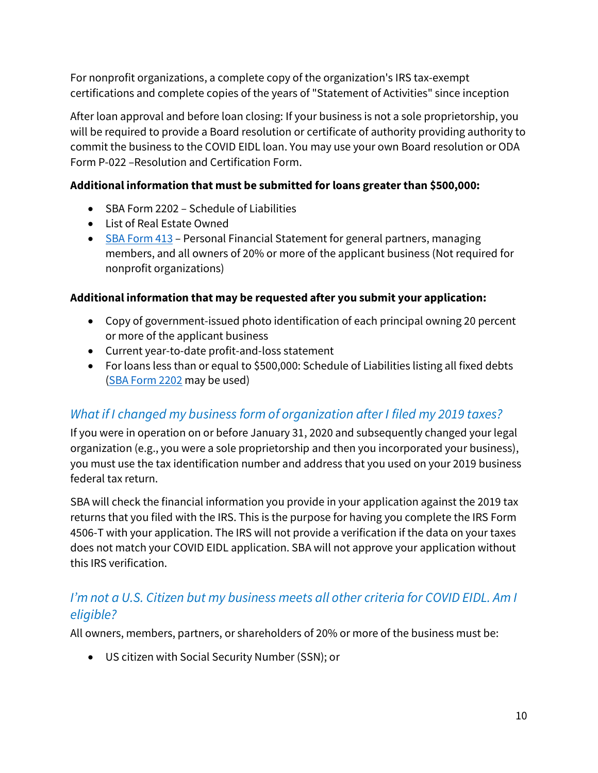For nonprofit organizations, a complete copy of the organization's IRS tax-exempt certifications and complete copies of the years of "Statement of Activities" since inception

After loan approval and before loan closing: If your business is not a sole proprietorship, you will be required to provide a Board resolution or certificate of authority providing authority to commit the business to the COVID EIDL loan. You may use your own Board resolution or ODA Form P-022 –Resolution and Certification Form.

#### **Additional information that must be submitted for loans greater than \$500,000:**

- SBA Form 2202 Schedule of Liabilities
- List of Real Estate Owned
- [SBA Form 413](https://www.sba.gov/document/sba-form-413-personal-financial-statement-7a-504-sbg-oda-wosb-8a)  Personal Financial Statement for general partners, managing members, and all owners of 20% or more of the applicant business (Not required for nonprofit organizations)

#### **Additional information that may be requested after you submit your application:**

- Copy of government-issued photo identification of each principal owning 20 percent or more of the applicant business
- Current year-to-date profit-and-loss statement
- For loans less than or equal to \$500,000: Schedule of Liabilities listing all fixed debts [\(SBA Form 2202](https://www.sba.gov/document/sba-form-2202-schedule-liabilities) may be used)

## *What if I changed my business form of organization after I filed my 2019 taxes?*

If you were in operation on or before January 31, 2020 and subsequently changed your legal organization (e.g., you were a sole proprietorship and then you incorporated your business), you must use the tax identification number and address that you used on your 2019 business federal tax return.

SBA will check the financial information you provide in your application against the 2019 tax returns that you filed with the IRS. This is the purpose for having you complete the IRS Form 4506-T with your application. The IRS will not provide a verification if the data on your taxes does not match your COVID EIDL application. SBA will not approve your application without this IRS verification.

#### *I'm not a U.S. Citizen but my business meets all other criteria for COVID EIDL. Am I eligible?*

All owners, members, partners, or shareholders of 20% or more of the business must be:

• US citizen with Social Security Number (SSN); or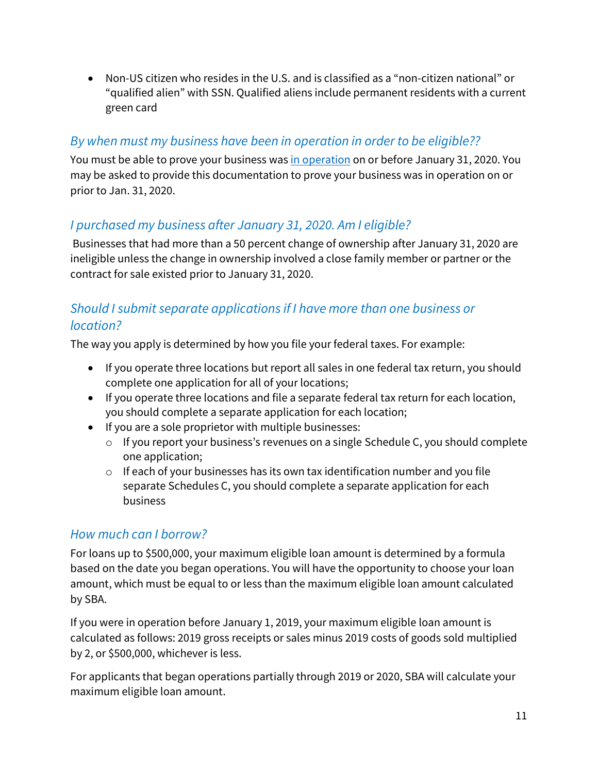• Non-US citizen who resides in the U.S. and is classified as a "non-citizen national" or "qualified alien" with SSN. Qualified aliens include permanent residents with a current green card

#### *By when must my business have been in operation in order to be eligible??*

You must be able to prove your business was [in operation](#page-6-0) on or before January 31, 2020. You may be asked to provide this documentation to prove your business was in operation on or prior to Jan. 31, 2020.

## *I purchased my business after January 31, 2020. Am I eligible?*

Businesses that had more than a 50 percent change of ownership after January 31, 2020 are ineligible unless the change in ownership involved a close family member or partner or the contract for sale existed prior to January 31, 2020.

#### *Should I submit separate applications if I have more than one business or location?*

The way you apply is determined by how you file your federal taxes. For example:

- If you operate three locations but report all sales in one federal tax return, you should complete one application for all of your locations;
- If you operate three locations and file a separate federal tax return for each location, you should complete a separate application for each location;
- If you are a sole proprietor with multiple businesses:
	- o If you report your business's revenues on a single Schedule C, you should complete one application;
	- o If each of your businesses has its own tax identification number and you file separate Schedules C, you should complete a separate application for each business

#### *How much can I borrow?*

by SBA. For loans up to \$500,000, your maximum eligible loan amount is determined by a formula based on the date you began operations. You will have the opportunity to choose your loan amount, which must be equal to or less than the maximum eligible loan amount calculated

If you were in operation before January 1, 2019, your maximum eligible loan amount is calculated as follows: 2019 gross receipts or sales minus 2019 costs of goods sold multiplied by 2, or \$500,000, whichever is less.

For applicants that began operations partially through 2019 or 2020, SBA will calculate your maximum eligible loan amount.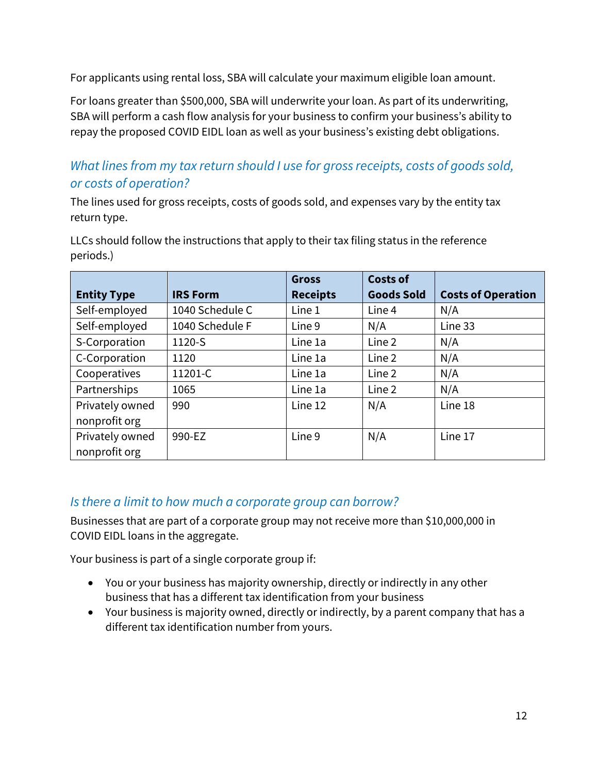For applicants using rental loss, SBA will calculate your maximum eligible loan amount.

For loans greater than \$500,000, SBA will underwrite your loan. As part of its underwriting, SBA will perform a cash flow analysis for your business to confirm your business's ability to repay the proposed COVID EIDL loan as well as your business's existing debt obligations.

### *What lines from my tax return should I use for gross receipts, costs of goods sold, or costs of operation?*

l The lines used for gross receipts, costs of goods sold, and expenses vary by the entity tax return type.

LLCs should follow the instructions that apply to their tax filing status in the reference periods.)

|                    |                 | <b>Gross</b>    | <b>Costs of</b>   |                           |
|--------------------|-----------------|-----------------|-------------------|---------------------------|
| <b>Entity Type</b> | <b>IRS Form</b> | <b>Receipts</b> | <b>Goods Sold</b> | <b>Costs of Operation</b> |
| Self-employed      | 1040 Schedule C | Line 1          | Line 4            | N/A                       |
| Self-employed      | 1040 Schedule F | Line 9          | N/A               | Line 33                   |
| S-Corporation      | 1120-S          | Line 1a         | Line 2            | N/A                       |
| C-Corporation      | 1120            | Line 1a         | Line 2            | N/A                       |
| Cooperatives       | 11201-C         | Line 1a         | Line 2            | N/A                       |
| Partnerships       | 1065            | Line 1a         | Line 2            | N/A                       |
| Privately owned    | 990             | Line 12         | N/A               | Line 18                   |
| nonprofit org      |                 |                 |                   |                           |
| Privately owned    | 990-EZ          | Line 9          | N/A               | Line 17                   |
| nonprofit org      |                 |                 |                   |                           |

#### *Is there a limit to how much a corporate group can borrow?*

Businesses that are part of a corporate group may not receive more than \$10,000,000 in COVID EIDL loans in the aggregate.

Your business is part of a single corporate group if:

- You or your business has majority ownership, directly or indirectly in any other business that has a different tax identification from your business
- Your business is majority owned, directly or indirectly, by a parent company that has a different tax identification number from yours.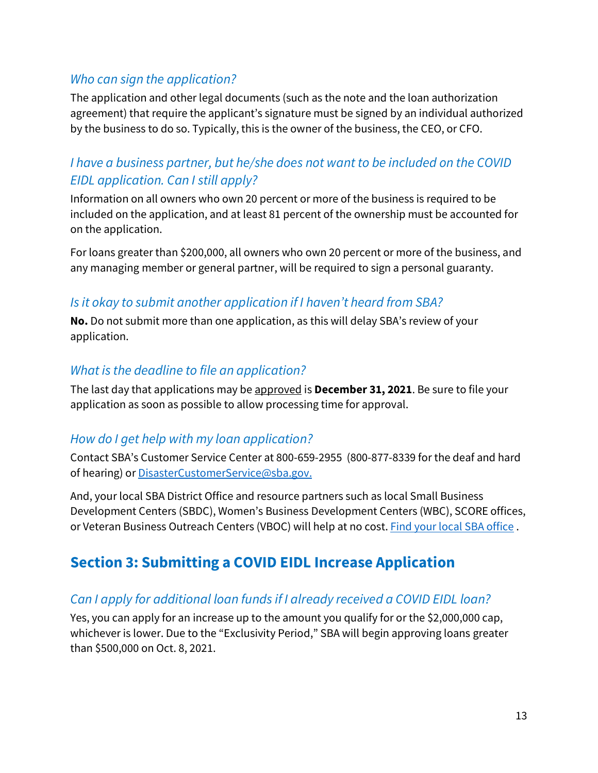#### *Who can sign the application?*

The application and other legal documents (such as the note and the loan authorization agreement) that require the applicant's signature must be signed by an individual authorized by the business to do so. Typically, this is the owner of the business, the CEO, or CFO.

#### *I have a business partner, but he/she does not want to be included on the COVID EIDL application. Can I still apply?*

Information on all owners who own 20 percent or more of the business is required to be included on the application, and at least 81 percent of the ownership must be accounted for on the application.

For loans greater than \$200,000, all owners who own 20 percent or more of the business, and any managing member or general partner, will be required to sign a personal guaranty.

#### *Is it okay to submit another application if I haven't heard from SBA?*

**No.** Do not submit more than one application, as this will delay SBA's review of your application.

#### *What is the deadline to file an application?*

The last day that applications may be approved is **December 31, 2021**. Be sure to file your application as soon as possible to allow processing time for approval.

#### <span id="page-12-0"></span>*How do I get help with my loan application?*

Contact SBA's Customer Service Center at 800-659-2955 (800-877-8339 for the deaf and hard of hearing) or [DisasterCustomerService@sba.gov.](mailto:DisasterCustomerService@sba.gov)

And, your local SBA District Office and resource partners such as local Small Business Development Centers (SBDC), Women's Business Development Centers (WBC), SCORE offices, or Veteran Business Outreach Centers (VBOC) will help at no cost. [Find your local SBA office .](https://www.sba.gov/local-assistance)

## **Section 3: Submitting a COVID EIDL Increase Application**

#### *Can I apply for additional loan funds if I already received a COVID EIDL loan?*

Yes, you can apply for an increase up to the amount you qualify for or the \$2,000,000 cap, whichever is lower. Due to the "Exclusivity Period," SBA will begin approving loans greater than \$500,000 on Oct. 8, 2021.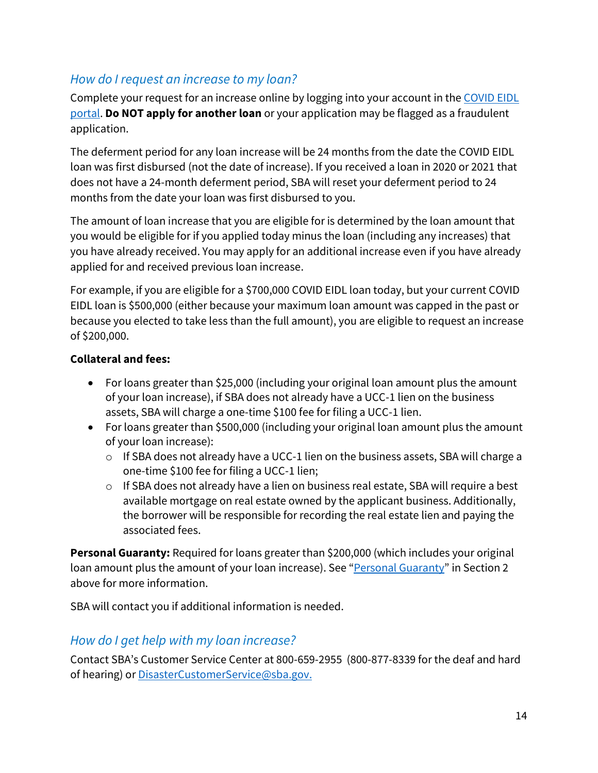#### *How do I request an increase to my loan?*

Complete your request for an increase online by logging into your account in the [COVID EIDL](https://covid19relief1.sba.gov/)  [portal.](https://covid19relief1.sba.gov/) **Do NOT apply for another loan** or your application may be flagged as a fraudulent application.

The deferment period for any loan increase will be 24 months from the date the COVID EIDL loan was first disbursed (not the date of increase). If you received a loan in 2020 or 2021 that does not have a 24-month deferment period, SBA will reset your deferment period to 24 months from the date your loan was first disbursed to you.

The amount of loan increase that you are eligible for is determined by the loan amount that you would be eligible for if you applied today minus the loan (including any increases) that you have already received. You may apply for an additional increase even if you have already applied for and received previous loan increase.

For example, if you are eligible for a \$700,000 COVID EIDL loan today, but your current COVID EIDL loan is \$500,000 (either because your maximum loan amount was capped in the past or because you elected to take less than the full amount), you are eligible to request an increase of \$200,000.

#### **Collateral and fees:**

- For loans greater than \$25,000 (including your original loan amount plus the amount of your loan increase), if SBA does not already have a UCC-1 lien on the business assets, SBA will charge a one-time \$100 fee for filing a UCC-1 lien.
- For loans greater than \$500,000 (including your original loan amount plus the amount of your loan increase):
	- o If SBA does not already have a UCC-1 lien on the business assets, SBA will charge a one-time \$100 fee for filing a UCC-1 lien;
	- o If SBA does not already have a lien on business real estate, SBA will require a best available mortgage on real estate owned by the applicant business. Additionally, the borrower will be responsible for recording the real estate lien and paying the associated fees.

**Personal Guaranty:** Required for loans greater than \$200,000 (which includes your original loan amount plus the amount of your loan increase). See ["Personal Guaranty"](#page-3-0) in Section 2 above for more information.

SBA will contact you if additional information is needed.

#### *How do I get help with my loan increase?*

Contact SBA's Customer Service Center at 800-659-2955 (800-877-8339 for the deaf and hard of hearing) or [DisasterCustomerService@sba.gov.](mailto:DisasterCustomerService@sba.gov)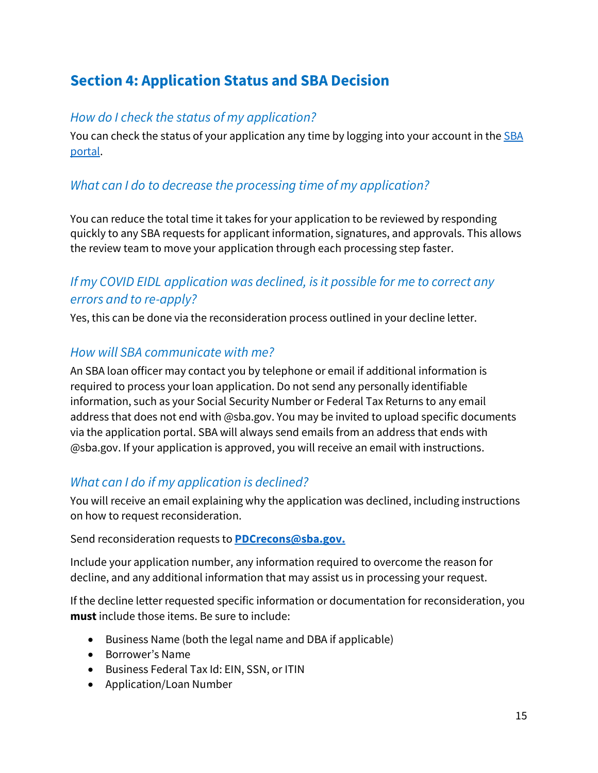# <span id="page-14-0"></span>**Section 4: Application Status and SBA Decision**

#### *How do I check the status of my application?*

You can check the status of your application any time by logging into your account in the SBA [portal.](https://covid19relief1.sba.gov/)

#### *What can I do to decrease the processing time of my application?*

You can reduce the total time it takes for your application to be reviewed by responding quickly to any SBA requests for applicant information, signatures, and approvals. This allows the review team to move your application through each processing step faster.

#### *If my COVID EIDL application was declined, is it possible for me to correct any errors and to re-apply?*

Yes, this can be done via the reconsideration process outlined in your decline letter.

#### *How will SBA communicate with me?*

An SBA loan officer may contact you by telephone or email if additional information is required to process your loan application. Do not send any personally identifiable information, such as your Social Security Number or Federal Tax Returns to any email address that does not end with @sba.gov. You may be invited to upload specific documents via the application portal. SBA will always send emails from an address that ends with @sba.gov. If your application is approved, you will receive an email with instructions.

#### *What can I do if my application is declined?*

You will receive an email explaining why the application was declined, including instructions

# on how to request reconsideration. Send reconsideration requests to **[PDCrecons@sba.gov.](mailto:pdcrecons@sba.gov)**

Include your application number, any information required to overcome the reason for decline, and any additional information that may assist us in processing your request.

If the decline letter requested specific information or documentation for reconsideration, you **must** include those items. Be sure to include:

- Business Name (both the legal name and DBA if applicable)
- Borrower's Name
- Business Federal Tax Id: EIN, SSN, or ITIN
- Application/Loan Number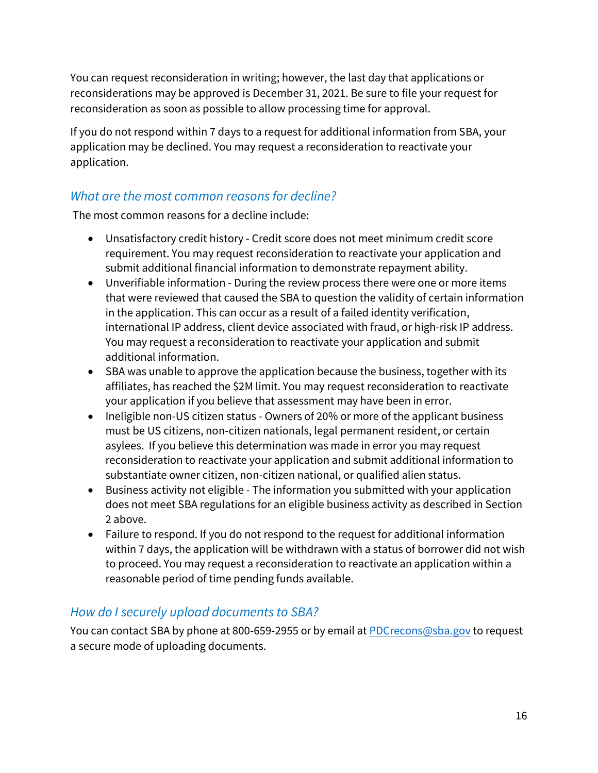You can request reconsideration in writing; however, the last day that applications or reconsiderations may be approved is December 31, 2021. Be sure to file your request for reconsideration as soon as possible to allow processing time for approval.

If you do not respond within 7 days to a request for additional information from SBA, your application may be declined. You may request a reconsideration to reactivate your application.

#### *What are the most common reasons for decline?*

The most common reasons for a decline include:

- Unsatisfactory credit history Credit score does not meet minimum credit score requirement. You may request reconsideration to reactivate your application and submit additional financial information to demonstrate repayment ability.
- Unverifiable information During the review process there were one or more items that were reviewed that caused the SBA to question the validity of certain information in the application. This can occur as a result of a failed identity verification, international IP address, client device associated with fraud, or high-risk IP address. You may request a reconsideration to reactivate your application and submit additional information.
- SBA was unable to approve the application because the business, together with its affiliates, has reached the \$2M limit. You may request reconsideration to reactivate your application if you believe that assessment may have been in error.
- Ineligible non-US citizen status Owners of 20% or more of the applicant business must be US citizens, non-citizen nationals, legal permanent resident, or certain asylees. If you believe this determination was made in error you may request reconsideration to reactivate your application and submit additional information to substantiate owner citizen, non-citizen national, or qualified alien status.
- Business activity not eligible The information you submitted with your application does not meet SBA regulations for an eligible business activity as described in Section 2 above.
- Failure to respond. If you do not respond to the request for additional information within 7 days, the application will be withdrawn with a status of borrower did not wish to proceed. You may request a reconsideration to reactivate an application within a reasonable period of time pending funds available.

#### *How do I securely upload documents to SBA?*

You can contact SBA by phone at 800-659-2955 or by email at [PDCrecons@sba.gov](mailto:PDCrecons@sba.gov) to request a secure mode of uploading documents.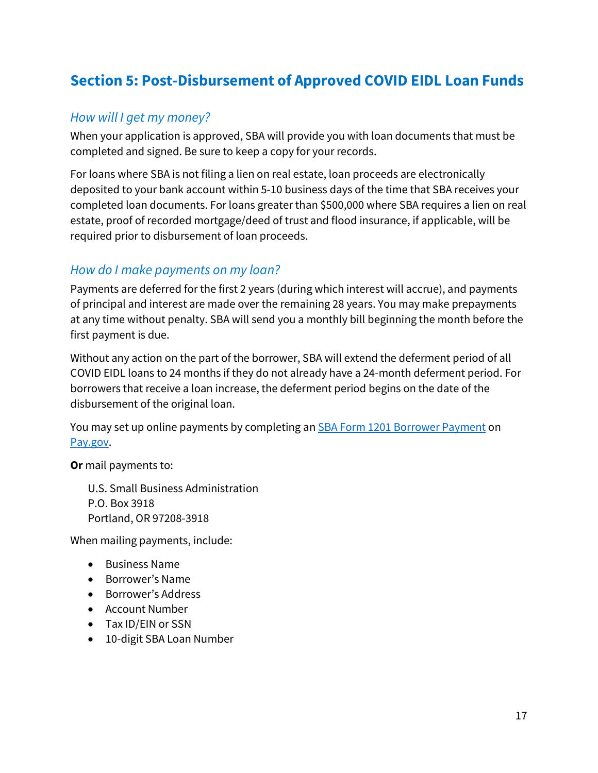## <span id="page-16-0"></span>**Section 5: Post-Disbursement of Approved COVID EIDL Loan Funds**

#### *How will I get my money?*

When your application is approved, SBA will provide you with loan documents that must be completed and signed. Be sure to keep a copy for your records.

For loans where SBA is not filing a lien on real estate, loan proceeds are electronically deposited to your bank account within 5-10 business days of the time that SBA receives your completed loan documents. For loans greater than \$500,000 where SBA requires a lien on real estate, proof of recorded mortgage/deed of trust and flood insurance, if applicable, will be required prior to disbursement of loan proceeds.

#### *How do I make payments on my loan?*

Payments are deferred for the first 2 years (during which interest will accrue), and payments of principal and interest are made over the remaining 28 years. You may make prepayments at any time without penalty. SBA will send you a monthly bill beginning the month before the first payment is due.

Without any action on the part of the borrower, SBA will extend the deferment period of all COVID EIDL loans to 24 months if they do not already have a 24-month deferment period. For borrowers that receive a loan increase, the deferment period begins on the date of the disbursement of the original loan.

You may set up online payments by completing an **SBA Form 1201 Borrower Payment** on Pay.gov.

**Or** mail payments to:

U.S. Small Business Administration P.O. Box 3918 Portland, OR 97208-3918

When mailing payments, include:

- Business Name
- Borrower's Name
- Borrower's Address
- Account Number
- Tax ID/EIN or SSN
- 10-digit SBA Loan Number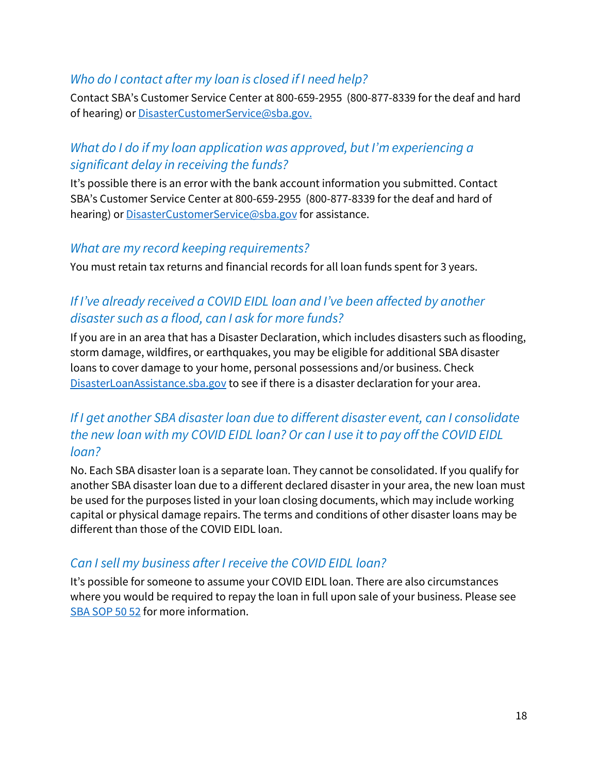#### *Who do I contact after my loan is closed if I need help?*

Contact SBA's Customer Service Center at 800-659-2955 (800-877-8339 for the deaf and hard of hearing) or [DisasterCustomerService@sba.gov.](mailto:DisasterCustomerService@sba.gov)

#### *What do I do if my loan application was approved, but I'm experiencing a significant delay in receiving the funds?*

It's possible there is an error with the bank account information you submitted. Contact SBA's Customer Service Center at 800-659-2955 (800-877-8339 for the deaf and hard of hearing) or **DisasterCustomerService@sba.gov** for assistance.

#### *What are my record keeping requirements?*

You must retain tax returns and financial records for all loan funds spent for 3 years.

#### *If I've already received a COVID EIDL loan and I've been affected by another disaster such as a flood, can I ask for more funds?*

If you are in an area that has a Disaster Declaration, which includes disasters such as flooding, storm damage, wildfires, or earthquakes, you may be eligible for additional SBA disaster loans to cover damage to your home, personal possessions and/or business. Check [DisasterLoanAssistance.sba.gov](https://DisasterLoanAssistance.sba.gov) to see if there is a disaster declaration for your area.

#### *If I get another SBA disaster loan due to different disaster event, can I consolidate the new loan with my COVID EIDL loan? Or can I use it to pay off the COVID EIDL loan?*

No. Each SBA disaster loan is a separate loan. They cannot be consolidated. If you qualify for another SBA disaster loan due to a different declared disaster in your area, the new loan must be used for the purposes listed in your loan closing documents, which may include working capital or physical damage repairs. The terms and conditions of other disaster loans may be different than those of the COVID EIDL loan.

#### *Can I sell my business after I receive the COVID EIDL loan?*

It's possible for someone to assume your COVID EIDL loan. There are also circumstances where you would be required to repay the loan in full upon sale of your business. Please see SBA SOP 50 52 for more information.